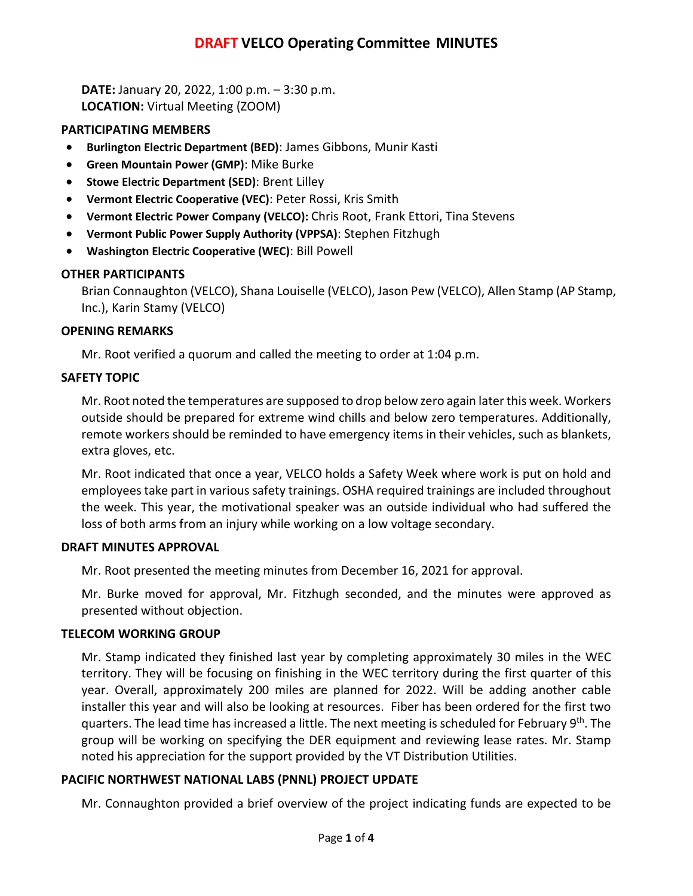# **DRAFT VELCO Operating Committee MINUTES**

**DATE:** January 20, 2022, 1:00 p.m. – 3:30 p.m. **LOCATION:** Virtual Meeting (ZOOM)

## **PARTICIPATING MEMBERS**

- **Burlington Electric Department (BED)**: James Gibbons, Munir Kasti
- **Green Mountain Power (GMP)**: Mike Burke
- **Stowe Electric Department (SED)**: Brent Lilley
- **Vermont Electric Cooperative (VEC)**: Peter Rossi, Kris Smith
- **Vermont Electric Power Company (VELCO):** Chris Root, Frank Ettori, Tina Stevens
- **Vermont Public Power Supply Authority (VPPSA)**: Stephen Fitzhugh
- **Washington Electric Cooperative (WEC)**: Bill Powell

# **OTHER PARTICIPANTS**

Brian Connaughton (VELCO), Shana Louiselle (VELCO), Jason Pew (VELCO), Allen Stamp (AP Stamp, Inc.), Karin Stamy (VELCO)

## **OPENING REMARKS**

Mr. Root verified a quorum and called the meeting to order at 1:04 p.m.

## **SAFETY TOPIC**

Mr. Root noted the temperatures are supposed to drop below zero again later this week. Workers outside should be prepared for extreme wind chills and below zero temperatures. Additionally, remote workers should be reminded to have emergency items in their vehicles, such as blankets, extra gloves, etc.

Mr. Root indicated that once a year, VELCO holds a Safety Week where work is put on hold and employees take part in various safety trainings. OSHA required trainings are included throughout the week. This year, the motivational speaker was an outside individual who had suffered the loss of both arms from an injury while working on a low voltage secondary.

## **DRAFT MINUTES APPROVAL**

Mr. Root presented the meeting minutes from December 16, 2021 for approval.

Mr. Burke moved for approval, Mr. Fitzhugh seconded, and the minutes were approved as presented without objection.

## **TELECOM WORKING GROUP**

Mr. Stamp indicated they finished last year by completing approximately 30 miles in the WEC territory. They will be focusing on finishing in the WEC territory during the first quarter of this year. Overall, approximately 200 miles are planned for 2022. Will be adding another cable installer this year and will also be looking at resources. Fiber has been ordered for the first two quarters. The lead time has increased a little. The next meeting is scheduled for February 9th. The group will be working on specifying the DER equipment and reviewing lease rates. Mr. Stamp noted his appreciation for the support provided by the VT Distribution Utilities.

## **PACIFIC NORTHWEST NATIONAL LABS (PNNL) PROJECT UPDATE**

Mr. Connaughton provided a brief overview of the project indicating funds are expected to be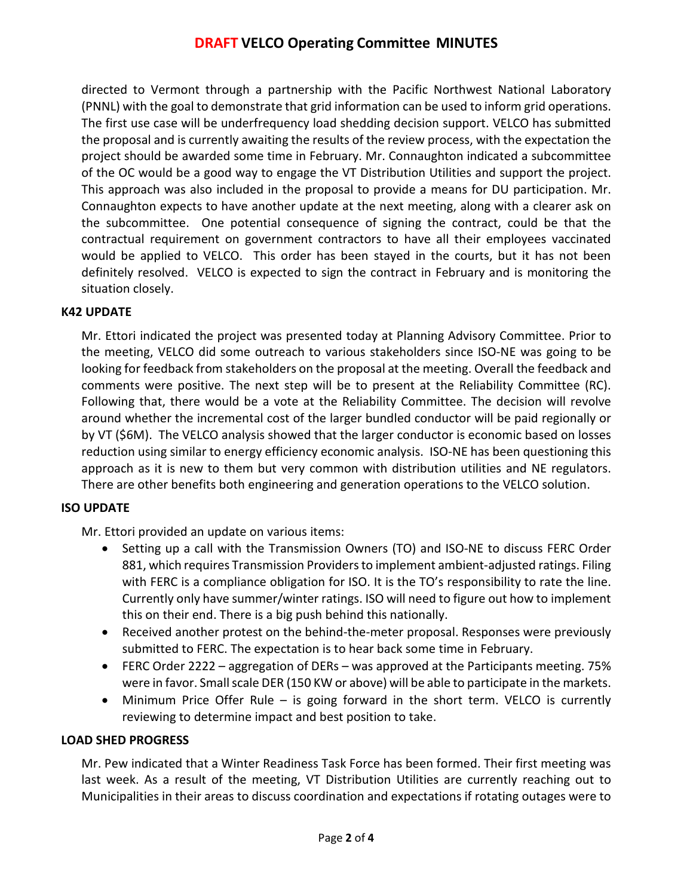# **DRAFT VELCO Operating Committee MINUTES**

directed to Vermont through a partnership with the Pacific Northwest National Laboratory (PNNL) with the goal to demonstrate that grid information can be used to inform grid operations. The first use case will be underfrequency load shedding decision support. VELCO has submitted the proposal and is currently awaiting the results of the review process, with the expectation the project should be awarded some time in February. Mr. Connaughton indicated a subcommittee of the OC would be a good way to engage the VT Distribution Utilities and support the project. This approach was also included in the proposal to provide a means for DU participation. Mr. Connaughton expects to have another update at the next meeting, along with a clearer ask on the subcommittee. One potential consequence of signing the contract, could be that the contractual requirement on government contractors to have all their employees vaccinated would be applied to VELCO. This order has been stayed in the courts, but it has not been definitely resolved. VELCO is expected to sign the contract in February and is monitoring the situation closely.

### **K42 UPDATE**

Mr. Ettori indicated the project was presented today at Planning Advisory Committee. Prior to the meeting, VELCO did some outreach to various stakeholders since ISO-NE was going to be looking for feedback from stakeholders on the proposal at the meeting. Overall the feedback and comments were positive. The next step will be to present at the Reliability Committee (RC). Following that, there would be a vote at the Reliability Committee. The decision will revolve around whether the incremental cost of the larger bundled conductor will be paid regionally or by VT (\$6M). The VELCO analysis showed that the larger conductor is economic based on losses reduction using similar to energy efficiency economic analysis. ISO-NE has been questioning this approach as it is new to them but very common with distribution utilities and NE regulators. There are other benefits both engineering and generation operations to the VELCO solution.

#### **ISO UPDATE**

Mr. Ettori provided an update on various items:

- Setting up a call with the Transmission Owners (TO) and ISO-NE to discuss FERC Order 881, which requires Transmission Providers to implement ambient-adjusted ratings. Filing with FERC is a compliance obligation for ISO. It is the TO's responsibility to rate the line. Currently only have summer/winter ratings. ISO will need to figure out how to implement this on their end. There is a big push behind this nationally.
- Received another protest on the behind-the-meter proposal. Responses were previously submitted to FERC. The expectation is to hear back some time in February.
- FERC Order 2222 aggregation of DERs was approved at the Participants meeting. 75% were in favor. Small scale DER (150 KW or above) will be able to participate in the markets.
- Minimum Price Offer Rule is going forward in the short term. VELCO is currently reviewing to determine impact and best position to take.

## **LOAD SHED PROGRESS**

Mr. Pew indicated that a Winter Readiness Task Force has been formed. Their first meeting was last week. As a result of the meeting, VT Distribution Utilities are currently reaching out to Municipalities in their areas to discuss coordination and expectations if rotating outages were to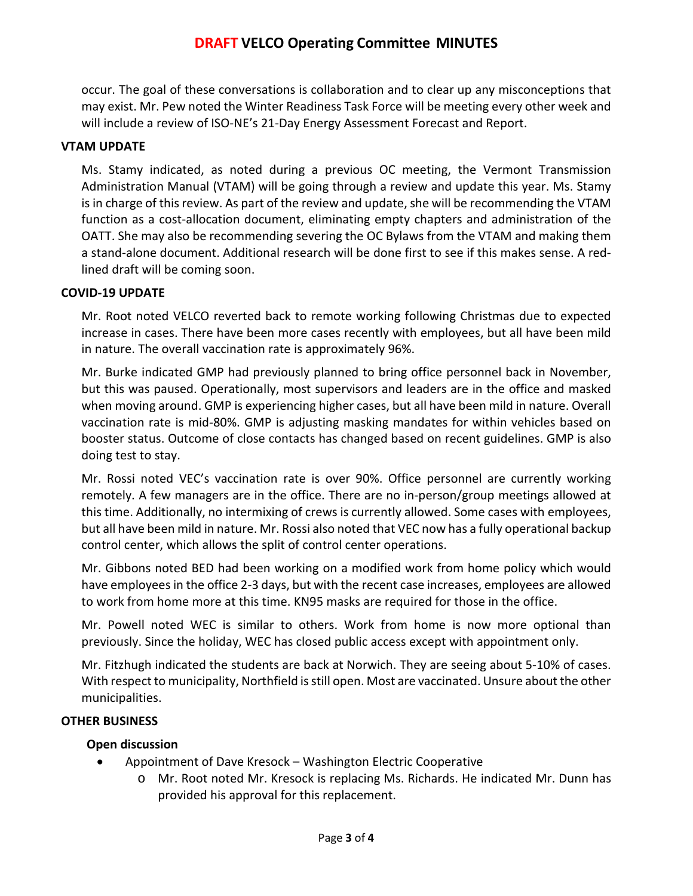occur. The goal of these conversations is collaboration and to clear up any misconceptions that may exist. Mr. Pew noted the Winter Readiness Task Force will be meeting every other week and will include a review of ISO-NE's 21-Day Energy Assessment Forecast and Report.

## **VTAM UPDATE**

Ms. Stamy indicated, as noted during a previous OC meeting, the Vermont Transmission Administration Manual (VTAM) will be going through a review and update this year. Ms. Stamy is in charge of this review. As part of the review and update, she will be recommending the VTAM function as a cost-allocation document, eliminating empty chapters and administration of the OATT. She may also be recommending severing the OC Bylaws from the VTAM and making them a stand-alone document. Additional research will be done first to see if this makes sense. A redlined draft will be coming soon.

### **COVID-19 UPDATE**

Mr. Root noted VELCO reverted back to remote working following Christmas due to expected increase in cases. There have been more cases recently with employees, but all have been mild in nature. The overall vaccination rate is approximately 96%.

Mr. Burke indicated GMP had previously planned to bring office personnel back in November, but this was paused. Operationally, most supervisors and leaders are in the office and masked when moving around. GMP is experiencing higher cases, but all have been mild in nature. Overall vaccination rate is mid-80%. GMP is adjusting masking mandates for within vehicles based on booster status. Outcome of close contacts has changed based on recent guidelines. GMP is also doing test to stay.

Mr. Rossi noted VEC's vaccination rate is over 90%. Office personnel are currently working remotely. A few managers are in the office. There are no in-person/group meetings allowed at this time. Additionally, no intermixing of crews is currently allowed. Some cases with employees, but all have been mild in nature. Mr. Rossi also noted that VEC now has a fully operational backup control center, which allows the split of control center operations.

Mr. Gibbons noted BED had been working on a modified work from home policy which would have employees in the office 2-3 days, but with the recent case increases, employees are allowed to work from home more at this time. KN95 masks are required for those in the office.

Mr. Powell noted WEC is similar to others. Work from home is now more optional than previously. Since the holiday, WEC has closed public access except with appointment only.

Mr. Fitzhugh indicated the students are back at Norwich. They are seeing about 5-10% of cases. With respect to municipality, Northfield is still open. Most are vaccinated. Unsure about the other municipalities.

#### **OTHER BUSINESS**

#### **Open discussion**

- Appointment of Dave Kresock Washington Electric Cooperative
	- o Mr. Root noted Mr. Kresock is replacing Ms. Richards. He indicated Mr. Dunn has provided his approval for this replacement.